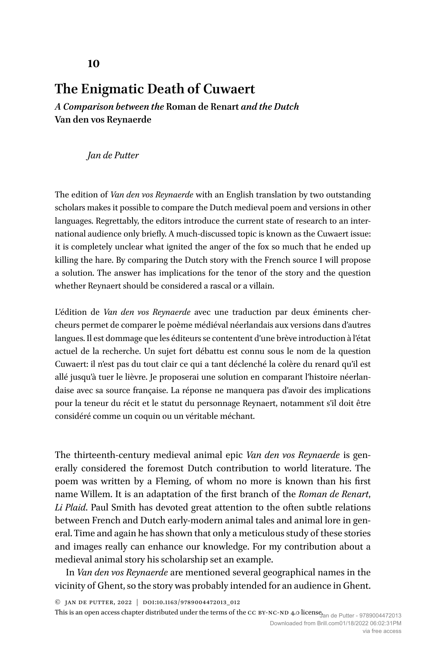# **The Enigmatic Death of Cuwaert**

*A Comparison between the* **Roman de Renart** *and the Dutch*  **Van den vos Reynaerde**

*Jan de Putter*

The edition of *Van den vos Reynaerde* with an English translation by two outstanding scholars makes it possible to compare the Dutch medieval poem and versions in other languages. Regrettably, the editors introduce the current state of research to an international audience only briefly. A much-discussed topic is known as the Cuwaert issue: it is completely unclear what ignited the anger of the fox so much that he ended up killing the hare. By comparing the Dutch story with the French source I will propose a solution. The answer has implications for the tenor of the story and the question whether Reynaert should be considered a rascal or a villain.

L'édition de *Van den vos Reynaerde* avec une traduction par deux éminents chercheurs permet de comparer le poème médiéval néerlandais aux versions dans d'autres langues. Il est dommage que les éditeurs se contentent d'une brève introduction à l'état actuel de la recherche. Un sujet fort débattu est connu sous le nom de la question Cuwaert: il n'est pas du tout clair ce qui a tant déclenché la colère du renard qu'il est allé jusqu'à tuer le lièvre. Je proposerai une solution en comparant l'histoire néerlandaise avec sa source française. La réponse ne manquera pas d'avoir des implications pour la teneur du récit et le statut du personnage Reynaert, notamment s'il doit être considéré comme un coquin ou un véritable méchant.

The thirteenth-century medieval animal epic *Van den vos Reynaerde* is generally considered the foremost Dutch contribution to world literature. The poem was written by a Fleming, of whom no more is known than his first name Willem. It is an adaptation of the first branch of the *Roman de Renart*, *Li Plaid*. Paul Smith has devoted great attention to the often subtle relations between French and Dutch early-modern animal tales and animal lore in general. Time and again he has shown that only a meticulous study of these stories and images really can enhance our knowledge. For my contribution about a medieval animal story his scholarship set an example.

In *Van den vos Reynaerde* are mentioned several geographical names in the vicinity of Ghent, so the story was probably intended for an audience in Ghent.

© Jan de Putter, 2022 | doi:10.1163/9789004472013\_012

This is an open access chapter [distributed](https://creativecommons.org/licenses/by-nc-nd/4.0/) under the terms of the CC BY-NC-ND 4.0 license<sub>dan de</sub> <sub>Putter - 9789004472013</sub>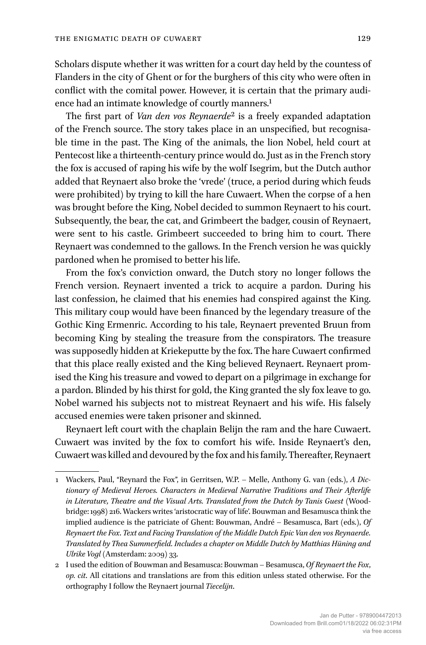Scholars dispute whether it was written for a court day held by the countess of Flanders in the city of Ghent or for the burghers of this city who were often in conflict with the comital power. However, it is certain that the primary audience had an intimate knowledge of courtly manners.1

The first part of *Van den vos Reynaerde*2 is a freely expanded adaptation of the French source. The story takes place in an unspecified, but recognisable time in the past. The King of the animals, the lion Nobel, held court at Pentecost like a thirteenth-century prince would do. Just as in the French story the fox is accused of raping his wife by the wolf Isegrim, but the Dutch author added that Reynaert also broke the 'vrede' (truce, a period during which feuds were prohibited) by trying to kill the hare Cuwaert. When the corpse of a hen was brought before the King, Nobel decided to summon Reynaert to his court. Subsequently, the bear, the cat, and Grimbeert the badger, cousin of Reynaert, were sent to his castle. Grimbeert succeeded to bring him to court. There Reynaert was condemned to the gallows. In the French version he was quickly pardoned when he promised to better his life.

From the fox's conviction onward, the Dutch story no longer follows the French version. Reynaert invented a trick to acquire a pardon. During his last confession, he claimed that his enemies had conspired against the King. This military coup would have been financed by the legendary treasure of the Gothic King Ermenric. According to his tale, Reynaert prevented Bruun from becoming King by stealing the treasure from the conspirators. The treasure was supposedly hidden at Kriekeputte by the fox. The hare Cuwaert confirmed that this place really existed and the King believed Reynaert. Reynaert promised the King his treasure and vowed to depart on a pilgrimage in exchange for a pardon. Blinded by his thirst for gold, the King granted the sly fox leave to go. Nobel warned his subjects not to mistreat Reynaert and his wife. His falsely accused enemies were taken prisoner and skinned.

Reynaert left court with the chaplain Belijn the ram and the hare Cuwaert. Cuwaert was invited by the fox to comfort his wife. Inside Reynaert's den, Cuwaert was killed and devoured by the fox and his family. Thereafter, Reynaert

<sup>1</sup> Wackers, Paul, "Reynard the Fox", in Gerritsen, W.P. – Melle, Anthony G. van (eds.), *A Dictionary of Medieval Heroes. Characters in Medieval Narrative Traditions and Their Afterlife in Literature, Theatre and the Visual Arts. Translated from the Dutch by Tanis Guest* (Woodbridge: 1998) 216. Wackers writes 'aristocratic way of life'. Bouwman and Besamusca think the implied audience is the patriciate of Ghent: Bouwman, André – Besamusca, Bart (eds.), *Of Reynaert the Fox*. *Text and Facing Translation of the Middle Dutch Epic Van den vos Reynaerde. Translated by Thea Summerfield. Includes a chapter on Middle Dutch by Matthias Hüning and Ulrike Vogl* (Amsterdam: 2009) 33.

<sup>2</sup> I used the edition of Bouwman and Besamusca: Bouwman – Besamusca, *Of Reynaert the Fox*, *op. cit*. All citations and translations are from this edition unless stated otherwise. For the orthography I follow the Reynaert journal *Tiecelijn*.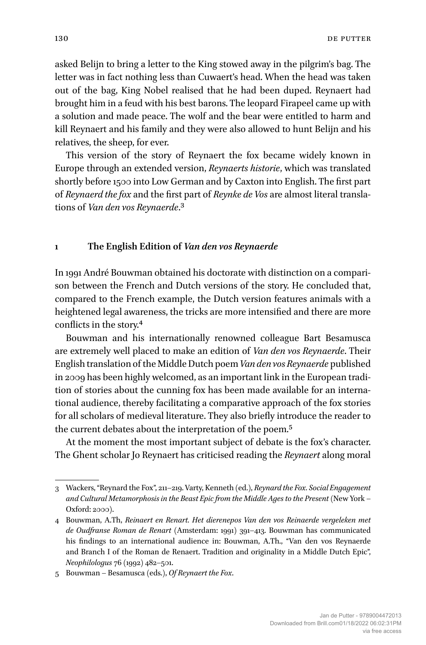asked Belijn to bring a letter to the King stowed away in the pilgrim's bag. The letter was in fact nothing less than Cuwaert's head. When the head was taken out of the bag, King Nobel realised that he had been duped. Reynaert had brought him in a feud with his best barons. The leopard Firapeel came up with a solution and made peace. The wolf and the bear were entitled to harm and kill Reynaert and his family and they were also allowed to hunt Belijn and his relatives, the sheep, for ever.

This version of the story of Reynaert the fox became widely known in Europe through an extended version, *Reynaerts historie*, which was translated shortly before 1500 into Low German and by Caxton into English. The first part of *Reynaerd the fox* and the first part of *Reynke de Vos* are almost literal translations of *Van den vos Reynaerde*.3

## **1 The English Edition of** *Van den vos Reynaerde*

In 1991 André Bouwman obtained his doctorate with distinction on a comparison between the French and Dutch versions of the story. He concluded that, compared to the French example, the Dutch version features animals with a heightened legal awareness, the tricks are more intensified and there are more conflicts in the story.4

Bouwman and his internationally renowned colleague Bart Besamusca are extremely well placed to make an edition of *Van den vos Reynaerde*. Their English translation of the Middle Dutch poem *Van den vos Reynaerde* published in 2009 has been highly welcomed, as an important link in the European tradition of stories about the cunning fox has been made available for an international audience, thereby facilitating a comparative approach of the fox stories for all scholars of medieval literature. They also briefly introduce the reader to the current debates about the interpretation of the poem.5

At the moment the most important subject of debate is the fox's character. The Ghent scholar Jo Reynaert has criticised reading the *Reynaert* along moral

<sup>3</sup> Wackers, "Reynard the Fox", 211–219. Varty, Kenneth (ed.), *Reynard the Fox. Social Engagement and Cultural Metamorphosis in the Beast Epic from the Middle Ages to the Present* (New York – Oxford: 2000).

<sup>4</sup> Bouwman, A.Th, *Reinaert en Renart. Het dierenepos Van den vos Reinaerde vergeleken met de Oudfranse Roman de Renart* (Amsterdam: 1991) 391–413. Bouwman has communicated his findings to an international audience in: Bouwman, A.Th., "Van den vos Reynaerde and Branch I of the Roman de Renaert. Tradition and originality in a Middle Dutch Epic", *Neophilologus* 76 (1992) 482–501.

<sup>5</sup> Bouwman – Besamusca (eds.), *Of Reynaert the Fox*.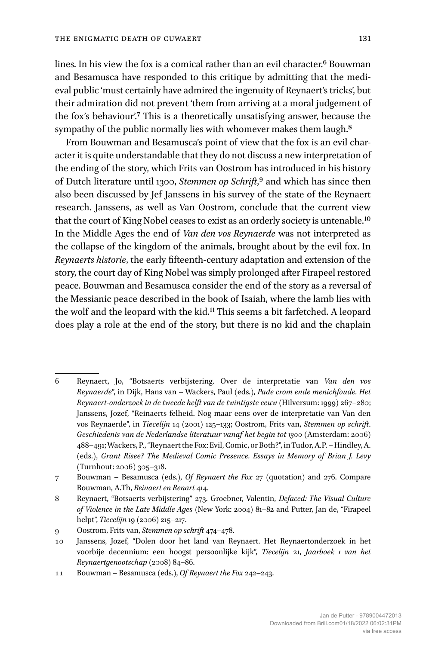lines. In his view the fox is a comical rather than an evil character.<sup>6</sup> Bouwman and Besamusca have responded to this critique by admitting that the medieval public 'must certainly have admired the ingenuity of Reynaert's tricks', but their admiration did not prevent 'them from arriving at a moral judgement of the fox's behaviour'.7 This is a theoretically unsatisfying answer, because the sympathy of the public normally lies with whomever makes them laugh.<sup>8</sup>

From Bouwman and Besamusca's point of view that the fox is an evil character it is quite understandable that they do not discuss a new interpretation of the ending of the story, which Frits van Oostrom has introduced in his history of Dutch literature until 1300, *Stemmen op Schrift*,9 and which has since then also been discussed by Jef Janssens in his survey of the state of the Reynaert research. Janssens, as well as Van Oostrom, conclude that the current view that the court of King Nobel ceases to exist as an orderly society is untenable.10 In the Middle Ages the end of *Van den vos Reynaerde* was not interpreted as the collapse of the kingdom of the animals, brought about by the evil fox. In *Reynaerts historie*, the early fifteenth-century adaptation and extension of the story, the court day of King Nobel was simply prolonged after Firapeel restored peace. Bouwman and Besamusca consider the end of the story as a reversal of the Messianic peace described in the book of Isaiah, where the lamb lies with the wolf and the leopard with the kid.11 This seems a bit farfetched. A leopard does play a role at the end of the story, but there is no kid and the chaplain

<sup>6</sup> Reynaert, Jo, "Botsaerts verbijstering. Over de interpretatie van *Van den vos Reynaerde*", in Dijk, Hans van – Wackers, Paul (eds.), *Pade crom ende menichfoude. Het Reynaert-onderzoek in de tweede helft van de twintigste eeuw* (Hilversum: 1999) 267–280; Janssens, Jozef, "Reinaerts felheid. Nog maar eens over de interpretatie van Van den vos Reynaerde", in *Tiecelijn* 14 (2001) 125–133; Oostrom, Frits van, *Stemmen op schrift*. *Geschiedenis van de Nederlandse literatuur vanaf het begin tot 1300* (Amsterdam: 2006) 488–491; Wackers, P., "Reynaert the Fox: Evil, Comic, or Both?", in Tudor, A.P. –Hindley, A. (eds.), *Grant Risee? The Medieval Comic Presence. Essays in Memory of Brian J. Levy* (Turnhout: 2006) 305–318.

<sup>7</sup> Bouwman – Besamusca (eds.), *Of Reynaert the Fox* 27 (quotation) and 276. Compare Bouwman, A.Th, *Reinaert en Renart* 414.

<sup>8</sup> Reynaert, "Botsaerts verbijstering" 273. Groebner, Valentin, *Defaced: The Visual Culture of Violence in the Late Middle Ages* (New York: 2004) 81–82 and Putter, Jan de, "Firapeel helpt", *Tiecelijn* 19 (2006) 215–217.

<sup>9</sup> Oostrom, Frits van, *Stemmen op schrift* 474–478.

<sup>10</sup> Janssens, Jozef, "Dolen door het land van Reynaert. Het Reynaertonderzoek in het voorbije decennium: een hoogst persoonlijke kijk", *Tiecelijn* 21, *Jaarboek 1 van het Reynaertgenootschap* (2008) 84–86.

<sup>11</sup> Bouwman – Besamusca (eds.), *Of Reynaert the Fox* 242–243.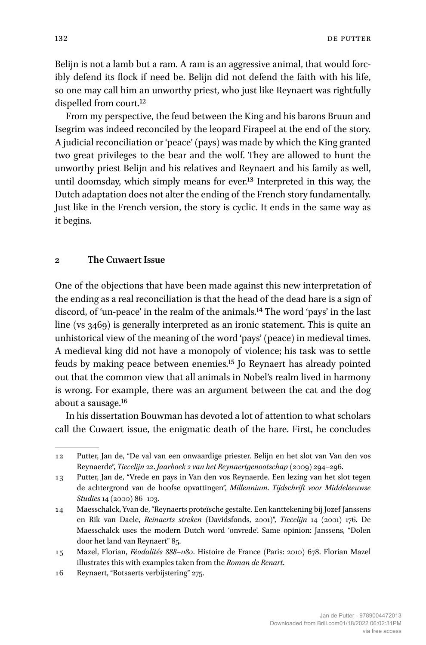Belijn is not a lamb but a ram. A ram is an aggressive animal, that would forcibly defend its flock if need be. Belijn did not defend the faith with his life, so one may call him an unworthy priest, who just like Reynaert was rightfully dispelled from court.12

From my perspective, the feud between the King and his barons Bruun and Isegrim was indeed reconciled by the leopard Firapeel at the end of the story. A judicial reconciliation or 'peace' (pays) was made by which the King granted two great privileges to the bear and the wolf. They are allowed to hunt the unworthy priest Belijn and his relatives and Reynaert and his family as well, until doomsday, which simply means for ever.13 Interpreted in this way, the Dutch adaptation does not alter the ending of the French story fundamentally. Just like in the French version, the story is cyclic. It ends in the same way as it begins.

### **2 The Cuwaert Issue**

One of the objections that have been made against this new interpretation of the ending as a real reconciliation is that the head of the dead hare is a sign of discord, of 'un-peace' in the realm of the animals.14 The word 'pays' in the last line (vs 3469) is generally interpreted as an ironic statement. This is quite an unhistorical view of the meaning of the word 'pays' (peace) in medieval times. A medieval king did not have a monopoly of violence; his task was to settle feuds by making peace between enemies.15 Jo Reynaert has already pointed out that the common view that all animals in Nobel's realm lived in harmony is wrong. For example, there was an argument between the cat and the dog about a sausage.16

In his dissertation Bouwman has devoted a lot of attention to what scholars call the Cuwaert issue, the enigmatic death of the hare. First, he concludes

<sup>12</sup> Putter, Jan de, "De val van een onwaardige priester. Belijn en het slot van Van den vos Reynaerde", *Tiecelijn* 22. *Jaarboek 2 van het Reynaertgenootschap* (2009) 294–296.

<sup>13</sup> Putter, Jan de, "Vrede en pays in Van den vos Reynaerde. Een lezing van het slot tegen de achtergrond van de hoofse opvattingen", *Millennium. Tijdschrift voor Middeleeuwse Studies* 14 (2000) 86–103.

<sup>14</sup> Maesschalck, Yvan de, "Reynaerts proteïsche gestalte. Een kanttekening bij Jozef Janssens en Rik van Daele, *Reinaerts streken* (Davidsfonds, 2001)", *Tiecelijn* 14 (2001) 176. De Maesschalck uses the modern Dutch word 'onvrede'. Same opinion: Janssens, "Dolen door het land van Reynaert" 85.

<sup>15</sup> Mazel, Florian, *Féodalités 888–1180*. Histoire de France (Paris: 2010) 678. Florian Mazel illustrates this with examples taken from the *Roman de Renart*.

<sup>16</sup> Reynaert, "Botsaerts verbijstering" 275.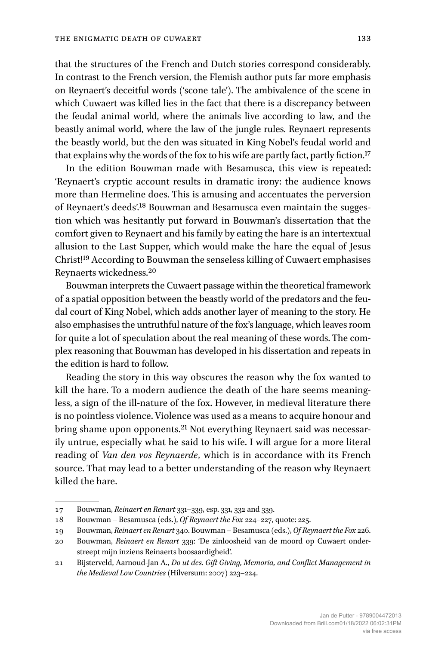that the structures of the French and Dutch stories correspond considerably. In contrast to the French version, the Flemish author puts far more emphasis on Reynaert's deceitful words ('scone tale'). The ambivalence of the scene in which Cuwaert was killed lies in the fact that there is a discrepancy between the feudal animal world, where the animals live according to law, and the beastly animal world, where the law of the jungle rules. Reynaert represents the beastly world, but the den was situated in King Nobel's feudal world and that explains why the words of the fox to his wife are partly fact, partly fiction.<sup>17</sup>

In the edition Bouwman made with Besamusca, this view is repeated: 'Reynaert's cryptic account results in dramatic irony: the audience knows more than Hermeline does. This is amusing and accentuates the perversion of Reynaert's deeds'.18 Bouwman and Besamusca even maintain the suggestion which was hesitantly put forward in Bouwman's dissertation that the comfort given to Reynaert and his family by eating the hare is an intertextual allusion to the Last Supper, which would make the hare the equal of Jesus Christ!19 According to Bouwman the senseless killing of Cuwaert emphasises Reynaerts wickedness.20

Bouwman interprets the Cuwaert passage within the theoretical framework of a spatial opposition between the beastly world of the predators and the feudal court of King Nobel, which adds another layer of meaning to the story. He also emphasises the untruthful nature of the fox's language, which leaves room for quite a lot of speculation about the real meaning of these words. The complex reasoning that Bouwman has developed in his dissertation and repeats in the edition is hard to follow.

Reading the story in this way obscures the reason why the fox wanted to kill the hare. To a modern audience the death of the hare seems meaningless, a sign of the ill-nature of the fox. However, in medieval literature there is no pointless violence. Violence was used as a means to acquire honour and bring shame upon opponents.21 Not everything Reynaert said was necessarily untrue, especially what he said to his wife. I will argue for a more literal reading of *Van den vos Reynaerde*, which is in accordance with its French source. That may lead to a better understanding of the reason why Reynaert killed the hare.

<sup>17</sup> Bouwman, *Reinaert en Renart* 331–339, esp. 331, 332 and 339.

<sup>18</sup> Bouwman – Besamusca (eds.), *Of Reynaert the Fox* 224–227, quote: 225.

<sup>19</sup> Bouwman, *Reinaert en Renart* 340. Bouwman – Besamusca (eds.), *Of Reynaert the Fox* 226.

<sup>20</sup> Bouwman, *Reinaert en Renart* 339: 'De zinloosheid van de moord op Cuwaert onderstreept mijn inziens Reinaerts boosaardigheid'.

<sup>21</sup> Bijsterveld, Aarnoud-Jan A., *Do ut des. Gift Giving, Memoria, and Conflict Management in the Medieval Low Countries* (Hilversum: 2007) 223–224.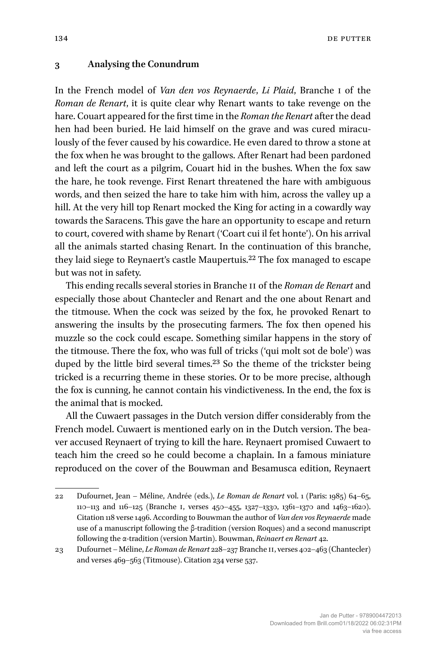134 de la provincia de la provincia de la provincia de la provincia de la provincia de la provincia de la prov

#### **3 Analysing the Conundrum**

In the French model of *Van den vos Reynaerde*, *Li Plaid*, Branche I of the *Roman de Renart*, it is quite clear why Renart wants to take revenge on the hare. Couart appeared for the first time in the *Roman the Renart* after the dead hen had been buried. He laid himself on the grave and was cured miraculously of the fever caused by his cowardice. He even dared to throw a stone at the fox when he was brought to the gallows. After Renart had been pardoned and left the court as a pilgrim, Couart hid in the bushes. When the fox saw the hare, he took revenge. First Renart threatened the hare with ambiguous words, and then seized the hare to take him with him, across the valley up a hill. At the very hill top Renart mocked the King for acting in a cowardly way towards the Saracens. This gave the hare an opportunity to escape and return to court, covered with shame by Renart ('Coart cui il fet honte'). On his arrival all the animals started chasing Renart. In the continuation of this branche, they laid siege to Reynaert's castle Maupertuis.<sup>22</sup> The fox managed to escape but was not in safety.

This ending recalls several stories in Branche II of the *Roman de Renart* and especially those about Chantecler and Renart and the one about Renart and the titmouse. When the cock was seized by the fox, he provoked Renart to answering the insults by the prosecuting farmers. The fox then opened his muzzle so the cock could escape. Something similar happens in the story of the titmouse. There the fox, who was full of tricks ('qui molt sot de bole') was duped by the little bird several times.<sup>23</sup> So the theme of the trickster being tricked is a recurring theme in these stories. Or to be more precise, although the fox is cunning, he cannot contain his vindictiveness. In the end, the fox is the animal that is mocked.

All the Cuwaert passages in the Dutch version differ considerably from the French model. Cuwaert is mentioned early on in the Dutch version. The beaver accused Reynaert of trying to kill the hare. Reynaert promised Cuwaert to teach him the creed so he could become a chaplain. In a famous miniature reproduced on the cover of the Bouwman and Besamusca edition, Reynaert

<sup>22</sup> Dufournet, Jean – Méline, Andrée (eds.), *Le Roman de Renart* vol. 1 (Paris: 1985) 64–65, 110–113 and 116–125 (Branche I, verses 450–455, 1327–1330, 1361–1370 and 1463–1620). Citation 118 verse 1496. According to Bouwman the author of *Van den vos Reynaerde* made use of a manuscript following the β-tradition (version Roques) and a second manuscript following the α-tradition (version Martin). Bouwman, *Reinaert en Renart* 42.

<sup>23</sup> Dufournet – Méline, *Le Roman de Renart* 228–237 Branche II, verses 402–463 (Chantecler) and verses 469–563 (Titmouse). Citation 234 verse 537.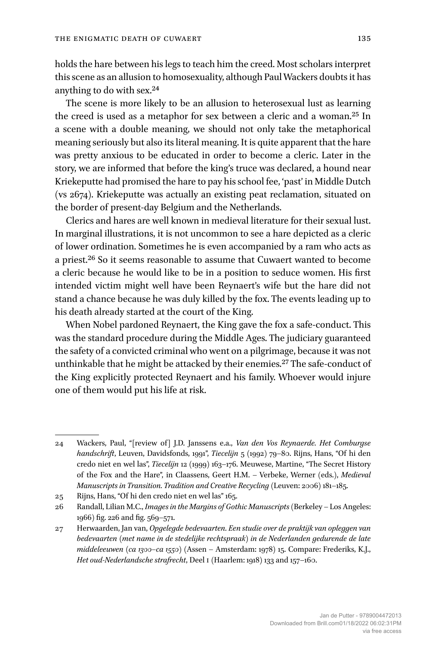holds the hare between his legs to teach him the creed. Most scholars interpret this scene as an allusion to homosexuality, although Paul Wackers doubts it has anything to do with sex.24

The scene is more likely to be an allusion to heterosexual lust as learning the creed is used as a metaphor for sex between a cleric and a woman.25 In a scene with a double meaning, we should not only take the metaphorical meaning seriously but also its literal meaning. It is quite apparent that the hare was pretty anxious to be educated in order to become a cleric. Later in the story, we are informed that before the king's truce was declared, a hound near Kriekeputte had promised the hare to pay his school fee, 'past' in Middle Dutch (vs 2674). Kriekeputte was actually an existing peat reclamation, situated on the border of present-day Belgium and the Netherlands.

Clerics and hares are well known in medieval literature for their sexual lust. In marginal illustrations, it is not uncommon to see a hare depicted as a cleric of lower ordination. Sometimes he is even accompanied by a ram who acts as a priest.26 So it seems reasonable to assume that Cuwaert wanted to become a cleric because he would like to be in a position to seduce women. His first intended victim might well have been Reynaert's wife but the hare did not stand a chance because he was duly killed by the fox. The events leading up to his death already started at the court of the King.

When Nobel pardoned Reynaert, the King gave the fox a safe-conduct. This was the standard procedure during the Middle Ages. The judiciary guaranteed the safety of a convicted criminal who went on a pilgrimage, because it was not unthinkable that he might be attacked by their enemies.<sup>27</sup> The safe-conduct of the King explicitly protected Reynaert and his family. Whoever would injure one of them would put his life at risk.

<sup>24</sup> Wackers, Paul, "[review of] J.D. Janssens e.a., *Van den Vos Reynaerde. Het Comburgse handschrift*, Leuven, Davidsfonds, 1991", *Tiecelijn* 5 (1992) 79–80. Rijns, Hans, "Of hi den credo niet en wel las", *Tiecelijn* 12 (1999) 163–176. Meuwese, Martine, "The Secret History of the Fox and the Hare", in Claassens, Geert H.M. – Verbeke, Werner (eds.), *Medieval Manuscripts in Transition. Tradition and Creative Recycling* (Leuven: 2006) 181–185.

<sup>25</sup> Rijns, Hans, "Of hi den credo niet en wel las" 165.

<sup>26</sup> Randall, Lilian M.C., *Images in the Margins of Gothic Manuscripts* (Berkeley – Los Angeles: 1966) fig. 226 and fig. 569–571.

<sup>27</sup> Herwaarden, Jan van, *Opgelegde bedevaarten. Een studie over de praktijk van opleggen van bedevaarten* (*met name in de stedelijke rechtspraak*) *in de Nederlanden gedurende de late middeleeuwen* (*ca 1300–ca 1550*) (Assen – Amsterdam: 1978) 15. Compare: Frederiks, K.J., *Het oud-Nederlandsche strafrecht*, Deel I (Haarlem: 1918) 133 and 157–160.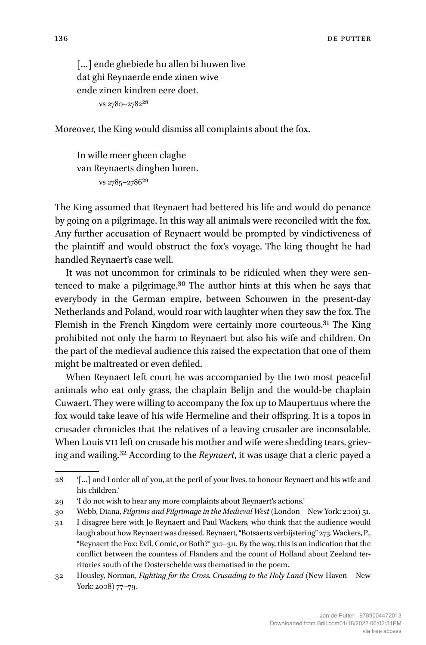[...] ende ghebiede hu allen bi huwen live dat ghi Reynaerde ende zinen wive ende zinen kindren eere doet. vs 2780–278228

Moreover, the King would dismiss all complaints about the fox.

In wille meer gheen claghe van Reynaerts dinghen horen. vs 2785–278629

The King assumed that Reynaert had bettered his life and would do penance by going on a pilgrimage. In this way all animals were reconciled with the fox. Any further accusation of Reynaert would be prompted by vindictiveness of the plaintiff and would obstruct the fox's voyage. The king thought he had handled Reynaert's case well.

It was not uncommon for criminals to be ridiculed when they were sentenced to make a pilgrimage.30 The author hints at this when he says that everybody in the German empire, between Schouwen in the present-day Netherlands and Poland, would roar with laughter when they saw the fox. The Flemish in the French Kingdom were certainly more courteous.31 The King prohibited not only the harm to Reynaert but also his wife and children. On the part of the medieval audience this raised the expectation that one of them might be maltreated or even defiled.

When Reynaert left court he was accompanied by the two most peaceful animals who eat only grass, the chaplain Belijn and the would-be chaplain Cuwaert. They were willing to accompany the fox up to Maupertuus where the fox would take leave of his wife Hermeline and their offspring. It is a topos in crusader chronicles that the relatives of a leaving crusader are inconsolable. When Louis VII left on crusade his mother and wife were shedding tears, grieving and wailing.32 According to the *Reynaert*, it was usage that a cleric payed a

<sup>28</sup> '[…] and I order all of you, at the peril of your lives, to honour Reynaert and his wife and his children.'

<sup>29</sup> 'I do not wish to hear any more complaints about Reynaert's actions.'

<sup>30</sup> Webb, Diana, *Pilgrims and Pilgrimage in the Medieval West* (London – New York: 2001) 51.

<sup>31</sup> I disagree here with Jo Reynaert and Paul Wackers, who think that the audience would laugh about how Reynaert was dressed. Reynaert, "Botsaerts verbijstering" 273. Wackers, P., "Reynaert the Fox: Evil, Comic, or Both?" 310–311. By the way, this is an indication that the conflict between the countess of Flanders and the count of Holland about Zeeland territories south of the Oosterschelde was thematised in the poem.

<sup>32</sup> Housley, Norman, *Fighting for the Cross. Crusading to the Holy Land* (New Haven – New York: 2008) 77–79.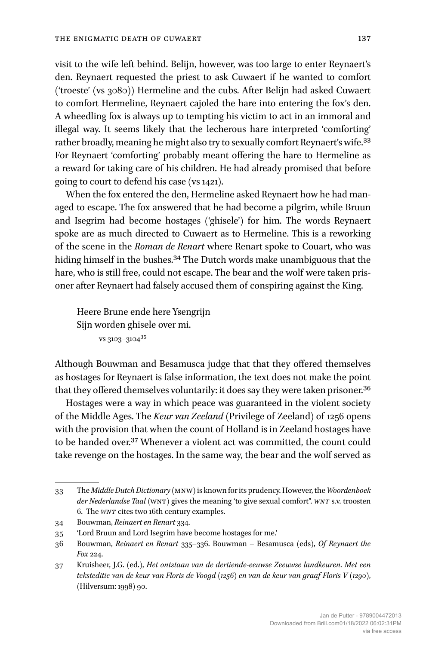visit to the wife left behind. Belijn, however, was too large to enter Reynaert's den. Reynaert requested the priest to ask Cuwaert if he wanted to comfort ('troeste' (vs 3080)) Hermeline and the cubs. After Belijn had asked Cuwaert to comfort Hermeline, Reynaert cajoled the hare into entering the fox's den. A wheedling fox is always up to tempting his victim to act in an immoral and illegal way. It seems likely that the lecherous hare interpreted 'comforting' rather broadly, meaning he might also try to sexually comfort Reynaert's wife.33 For Reynaert 'comforting' probably meant offering the hare to Hermeline as a reward for taking care of his children. He had already promised that before going to court to defend his case (vs 1421).

When the fox entered the den, Hermeline asked Reynaert how he had managed to escape. The fox answered that he had become a pilgrim, while Bruun and Isegrim had become hostages ('ghisele') for him. The words Reynaert spoke are as much directed to Cuwaert as to Hermeline. This is a reworking of the scene in the *Roman de Renart* where Renart spoke to Couart, who was hiding himself in the bushes.34 The Dutch words make unambiguous that the hare, who is still free, could not escape. The bear and the wolf were taken prisoner after Reynaert had falsely accused them of conspiring against the King.

Heere Brune ende here Ysengrijn Sijn worden ghisele over mi. vs 3103–310435

Although Bouwman and Besamusca judge that that they offered themselves as hostages for Reynaert is false information, the text does not make the point that they offered themselves voluntarily: it does say they were taken prisoner.<sup>36</sup>

Hostages were a way in which peace was guaranteed in the violent society of the Middle Ages. The *Keur van Zeeland* (Privilege of Zeeland) of 1256 opens with the provision that when the count of Holland is in Zeeland hostages have to be handed over.37 Whenever a violent act was committed, the count could take revenge on the hostages. In the same way, the bear and the wolf served as

<sup>33</sup> The *Middle Dutch Dictionary* (MNW) is known for its prudency. However, the *Woordenboek der Nederlandse Taal* (WNT) gives the meaning 'to give sexual comfort". *WNT* s.v. troosten 6. The *WNT* cites two 16th century examples.

<sup>34</sup> Bouwman, *Reinaert en Renart* 334.

<sup>35</sup> 'Lord Bruun and Lord Isegrim have become hostages for me.'

<sup>36</sup> Bouwman, *Reinaert en Renart* 335–336. Bouwman – Besamusca (eds), *Of Reynaert the Fox* 224.

<sup>37</sup> Kruisheer, J.G. (ed.), *Het ontstaan van de dertiende-eeuwse Zeeuwse landkeuren. Met een teksteditie van de keur van Floris de Voogd (1256) en van de keur van graaf Floris V (1290)*, (Hilversum: 1998) 90.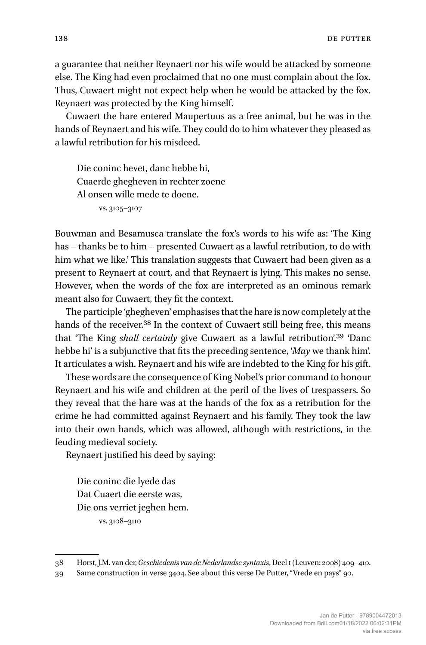a guarantee that neither Reynaert nor his wife would be attacked by someone else. The King had even proclaimed that no one must complain about the fox. Thus, Cuwaert might not expect help when he would be attacked by the fox. Reynaert was protected by the King himself.

Cuwaert the hare entered Maupertuus as a free animal, but he was in the hands of Reynaert and his wife. They could do to him whatever they pleased as a lawful retribution for his misdeed.

Die coninc hevet, danc hebbe hi, Cuaerde ghegheven in rechter zoene Al onsen wille mede te doene. vs. 3105–3107

Bouwman and Besamusca translate the fox's words to his wife as: 'The King has – thanks be to him – presented Cuwaert as a lawful retribution, to do with him what we like.' This translation suggests that Cuwaert had been given as a present to Reynaert at court, and that Reynaert is lying. This makes no sense. However, when the words of the fox are interpreted as an ominous remark meant also for Cuwaert, they fit the context.

The participle 'ghegheven' emphasises that the hare is now completely at the hands of the receiver.<sup>38</sup> In the context of Cuwaert still being free, this means that 'The King *shall certainly* give Cuwaert as a lawful retribution'.39 'Danc hebbe hi' is a subjunctive that fits the preceding sentence, '*May* we thank him'. It articulates a wish. Reynaert and his wife are indebted to the King for his gift.

These words are the consequence of King Nobel's prior command to honour Reynaert and his wife and children at the peril of the lives of trespassers. So they reveal that the hare was at the hands of the fox as a retribution for the crime he had committed against Reynaert and his family. They took the law into their own hands, which was allowed, although with restrictions, in the feuding medieval society.

Reynaert justified his deed by saying:

Die coninc die lyede das Dat Cuaert die eerste was, Die ons verriet jeghen hem. vs. 3108–3110

<sup>38</sup> Horst, J.M. van der, *Geschiedenis van de Nederlandse syntaxis*, Deel I (Leuven: 2008) 409–410.

<sup>39</sup> Same construction in verse 3404. See about this verse De Putter, "Vrede en pays" 90.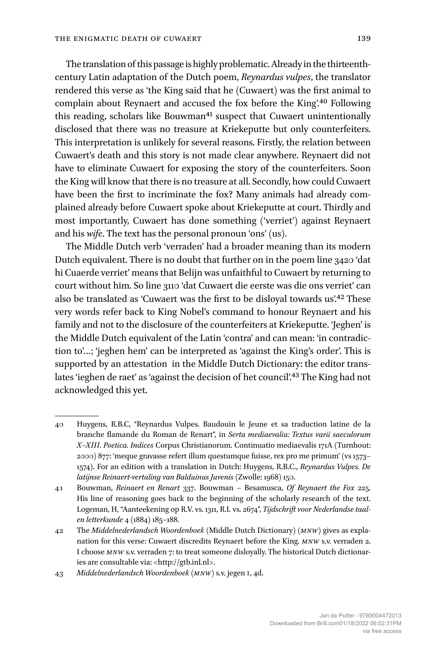The translation of this passage is highly problematic. Already in the thirteenthcentury Latin adaptation of the Dutch poem, *Reynardus vulpes*, the translator rendered this verse as 'the King said that he (Cuwaert) was the first animal to complain about Reynaert and accused the fox before the King'.40 Following this reading, scholars like Bouwman<sup>41</sup> suspect that Cuwaert unintentionally disclosed that there was no treasure at Kriekeputte but only counterfeiters. This interpretation is unlikely for several reasons. Firstly, the relation between Cuwaert's death and this story is not made clear anywhere. Reynaert did not have to eliminate Cuwaert for exposing the story of the counterfeiters. Soon the King will know that there is no treasure at all. Secondly, how could Cuwaert have been the first to incriminate the fox? Many animals had already complained already before Cuwaert spoke about Kriekeputte at court. Thirdly and most importantly, Cuwaert has done something ('verriet') against Reynaert and his *wife*. The text has the personal pronoun 'ons' (us).

The Middle Dutch verb 'verraden' had a broader meaning than its modern Dutch equivalent. There is no doubt that further on in the poem line 3420 'dat hi Cuaerde verriet' means that Belijn was unfaithful to Cuwaert by returning to court without him. So line 3110 'dat Cuwaert die eerste was die ons verriet' can also be translated as 'Cuwaert was the first to be disloyal towards us'.42 These very words refer back to King Nobel's command to honour Reynaert and his family and not to the disclosure of the counterfeiters at Kriekeputte. 'Jeghen' is the Middle Dutch equivalent of the Latin 'contra' and can mean: 'in contradiction to'…; 'jeghen hem' can be interpreted as 'against the King's order'. This is supported by an attestation in the Middle Dutch Dictionary: the editor translates 'ieghen de raet' as 'against the decision of het council'.<sup>43</sup> The King had not acknowledged this yet.

<sup>40</sup> Huygens, R.B.C, "Reynardus Vulpes. Baudouin le Jeune et sa traduction latine de la branche flamande du Roman de Renart", in *Serta mediaevalia: Textus varii saeculorum X–XIII. Poetica. Indices* Corpus Christianorum. Continuatio mediaevalis 171A (Turnhout: 2000) 877: 'meque gravasse refert illum questumque fuisse, rex pro me primum' (vs 1573– 1574). For an edition with a translation in Dutch: Huygens, R.B.C., *Reynardus Vulpes. De latijnse Reinaert-vertaling van Balduinus Juvenis* (Zwolle: 1968) 150.

<sup>41</sup> Bouwman, *Reinaert en Renart* 337. Bouwman – Besamusca, *Of Reynaert the Fox* 225. His line of reasoning goes back to the beginning of the scholarly research of the text. Logeman, H, "Aanteekening op R.V. vs. 1311, R.I. vs. 2674", *Tijdschrift voor Nederlandse taalen letterkunde* 4 (1884) 185–188.

<sup>42</sup> The *Middelnederlandsch Woordenboek* (Middle Dutch Dictionary) (*MNW*) gives as explanation for this verse: Cuwaert discredits Reynaert before the King. *MNW* s.v. verraden 2. I choose *MNW* s.v. verraden 7: to treat someone disloyally. The historical Dutch dictionaries are consultable via: <[http://gtb.inl.nl>](http://gtb.inl.nl).

<sup>43</sup> *Middelnederlandsch Woordenboek* (*MNW*) s.v. jegen I, 4d.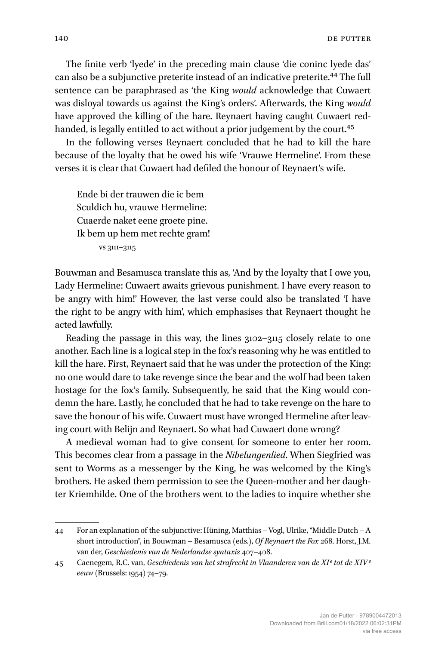The finite verb 'lyede' in the preceding main clause 'die coninc lyede das' can also be a subjunctive preterite instead of an indicative preterite.44 The full sentence can be paraphrased as 'the King *would* acknowledge that Cuwaert was disloyal towards us against the King's orders'. Afterwards, the King *would* have approved the killing of the hare. Reynaert having caught Cuwaert redhanded, is legally entitled to act without a prior judgement by the court.<sup>45</sup>

In the following verses Reynaert concluded that he had to kill the hare because of the loyalty that he owed his wife 'Vrauwe Hermeline'. From these verses it is clear that Cuwaert had defiled the honour of Reynaert's wife.

Ende bi der trauwen die ic bem Sculdich hu, vrauwe Hermeline: Cuaerde naket eene groete pine. Ik bem up hem met rechte gram! vs 3111–3115

Bouwman and Besamusca translate this as, 'And by the loyalty that I owe you, Lady Hermeline: Cuwaert awaits grievous punishment. I have every reason to be angry with him!' However, the last verse could also be translated 'I have the right to be angry with him', which emphasises that Reynaert thought he acted lawfully.

Reading the passage in this way, the lines  $3102 - 3115$  closely relate to one another. Each line is a logical step in the fox's reasoning why he was entitled to kill the hare. First, Reynaert said that he was under the protection of the King: no one would dare to take revenge since the bear and the wolf had been taken hostage for the fox's family. Subsequently, he said that the King would condemn the hare. Lastly, he concluded that he had to take revenge on the hare to save the honour of his wife. Cuwaert must have wronged Hermeline after leaving court with Belijn and Reynaert. So what had Cuwaert done wrong?

A medieval woman had to give consent for someone to enter her room. This becomes clear from a passage in the *Nibelungenlied*. When Siegfried was sent to Worms as a messenger by the King, he was welcomed by the King's brothers. He asked them permission to see the Queen-mother and her daughter Kriemhilde. One of the brothers went to the ladies to inquire whether she

<sup>44</sup> For an explanation of the subjunctive: Hüning, Matthias – Vogl, Ulrike, "Middle Dutch – A short introduction", in Bouwman – Besamusca (eds.), *Of Reynaert the Fox* 268. Horst, J.M. van der, *Geschiedenis van de Nederlandse syntaxis* 407–408.

<sup>45</sup> Caenegem, R.C. van, *Geschiedenis van het strafrecht in Vlaanderen van de XIe tot de XIVe eeuw* (Brussels: 1954) 74–79.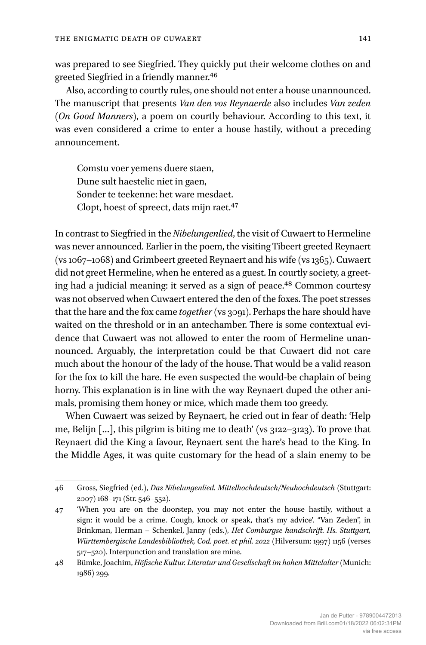was prepared to see Siegfried. They quickly put their welcome clothes on and greeted Siegfried in a friendly manner.46

Also, according to courtly rules, one should not enter a house unannounced. The manuscript that presents *Van den vos Reynaerde* also includes *Van zeden* (*On Good Manners*), a poem on courtly behaviour. According to this text, it was even considered a crime to enter a house hastily, without a preceding announcement.

Comstu voer yemens duere staen, Dune sult haestelic niet in gaen, Sonder te teekenne: het ware mesdaet. Clopt, hoest of spreect, dats mijn raet.47

In contrast to Siegfried in the *Nibelungenlied*, the visit of Cuwaert to Hermeline was never announced. Earlier in the poem, the visiting Tibeert greeted Reynaert (vs 1067–1068) and Grimbeert greeted Reynaert and his wife (vs 1365). Cuwaert did not greet Hermeline, when he entered as a guest. In courtly society, a greeting had a judicial meaning: it served as a sign of peace.<sup>48</sup> Common courtesy was not observed when Cuwaert entered the den of the foxes. The poet stresses that the hare and the fox came *together* (vs 3091). Perhaps the hare should have waited on the threshold or in an antechamber. There is some contextual evidence that Cuwaert was not allowed to enter the room of Hermeline unannounced. Arguably, the interpretation could be that Cuwaert did not care much about the honour of the lady of the house. That would be a valid reason for the fox to kill the hare. He even suspected the would-be chaplain of being horny. This explanation is in line with the way Reynaert duped the other animals, promising them honey or mice, which made them too greedy.

When Cuwaert was seized by Reynaert, he cried out in fear of death: 'Help me, Belijn […], this pilgrim is biting me to death' (vs 3122–3123). To prove that Reynaert did the King a favour, Reynaert sent the hare's head to the King. In the Middle Ages, it was quite customary for the head of a slain enemy to be

<sup>46</sup> Gross, Siegfried (ed.), *Das Nibelungenlied. Mittelhochdeutsch/Neuhochdeutsch* (Stuttgart: 2007) 168–171 (Str. 546–552).

<sup>47</sup> 'When you are on the doorstep, you may not enter the house hastily, without a sign: it would be a crime. Cough, knock or speak, that's my advice'. "Van Zeden", in Brinkman, Herman – Schenkel, Janny (eds.), *Het Comburgse handschrift. Hs. Stuttgart, Württembergische Landesbibliothek, Cod. poet. et phil. 2o22* (Hilversum: 1997) 1156 (verses 517–520). Interpunction and translation are mine.

<sup>48</sup> Bümke, Joachim, *Höfische Kultur. Literatur und Gesellschaft im hohen Mittelalter* (Munich: 1986) 299.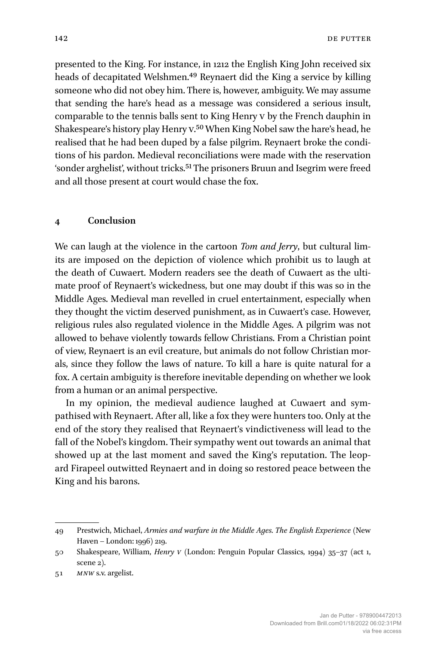142 **DE PUTTER** 

presented to the King. For instance, in 1212 the English King John received six heads of decapitated Welshmen.49 Reynaert did the King a service by killing someone who did not obey him. There is, however, ambiguity. We may assume that sending the hare's head as a message was considered a serious insult, comparable to the tennis balls sent to King Henry V by the French dauphin in Shakespeare's history play Henry v.<sup>50</sup> When King Nobel saw the hare's head, he realised that he had been duped by a false pilgrim. Reynaert broke the conditions of his pardon. Medieval reconciliations were made with the reservation 'sonder arghelist', without tricks.51 The prisoners Bruun and Isegrim were freed and all those present at court would chase the fox.

# **4 Conclusion**

We can laugh at the violence in the cartoon *Tom and Jerry*, but cultural limits are imposed on the depiction of violence which prohibit us to laugh at the death of Cuwaert. Modern readers see the death of Cuwaert as the ultimate proof of Reynaert's wickedness, but one may doubt if this was so in the Middle Ages. Medieval man revelled in cruel entertainment, especially when they thought the victim deserved punishment, as in Cuwaert's case. However, religious rules also regulated violence in the Middle Ages. A pilgrim was not allowed to behave violently towards fellow Christians. From a Christian point of view, Reynaert is an evil creature, but animals do not follow Christian morals, since they follow the laws of nature. To kill a hare is quite natural for a fox. A certain ambiguity is therefore inevitable depending on whether we look from a human or an animal perspective.

In my opinion, the medieval audience laughed at Cuwaert and sympathised with Reynaert. After all, like a fox they were hunters too. Only at the end of the story they realised that Reynaert's vindictiveness will lead to the fall of the Nobel's kingdom. Their sympathy went out towards an animal that showed up at the last moment and saved the King's reputation. The leopard Firapeel outwitted Reynaert and in doing so restored peace between the King and his barons.

<sup>49</sup> Prestwich, Michael, *Armies and warfare in the Middle Ages. The English Experience* (New Haven – London: 1996) 219.

<sup>50</sup> Shakespeare, William, *Henry V* (London: Penguin Popular Classics, 1994) 35–37 (act 1, scene 2).

<sup>51</sup> *MNW* s.v. argelist.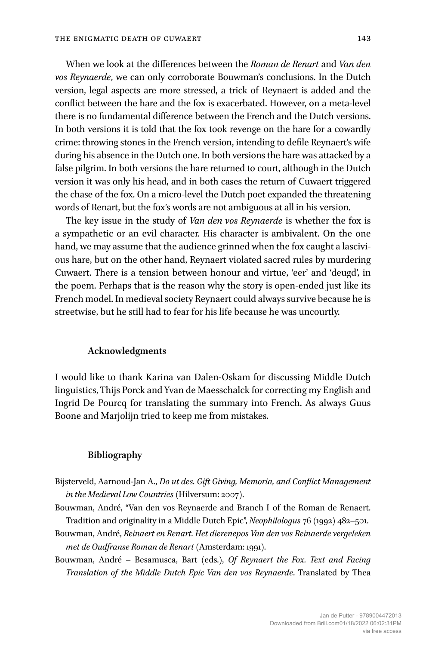When we look at the differences between the *Roman de Renart* and *Van den vos Reynaerde*, we can only corroborate Bouwman's conclusions. In the Dutch version, legal aspects are more stressed, a trick of Reynaert is added and the conflict between the hare and the fox is exacerbated. However, on a meta-level there is no fundamental difference between the French and the Dutch versions. In both versions it is told that the fox took revenge on the hare for a cowardly crime: throwing stones in the French version, intending to defile Reynaert's wife during his absence in the Dutch one. In both versions the hare was attacked by a false pilgrim. In both versions the hare returned to court, although in the Dutch version it was only his head, and in both cases the return of Cuwaert triggered the chase of the fox. On a micro-level the Dutch poet expanded the threatening words of Renart, but the fox's words are not ambiguous at all in his version.

The key issue in the study of *Van den vos Reynaerde* is whether the fox is a sympathetic or an evil character. His character is ambivalent. On the one hand, we may assume that the audience grinned when the fox caught a lascivious hare, but on the other hand, Reynaert violated sacred rules by murdering Cuwaert. There is a tension between honour and virtue, 'eer' and 'deugd', in the poem. Perhaps that is the reason why the story is open-ended just like its French model. In medieval society Reynaert could always survive because he is streetwise, but he still had to fear for his life because he was uncourtly.

#### **Acknowledgments**

I would like to thank Karina van Dalen-Oskam for discussing Middle Dutch linguistics, Thijs Porck and Yvan de Maesschalck for correcting my English and Ingrid De Pourcq for translating the summary into French. As always Guus Boone and Marjolijn tried to keep me from mistakes.

#### **Bibliography**

- Bijsterveld, Aarnoud-Jan A., *Do ut des. Gift Giving, Memoria, and Conflict Management in the Medieval Low Countries* (Hilversum: 2007).
- Bouwman, André, "Van den vos Reynaerde and Branch I of the Roman de Renaert. Tradition and originality in a Middle Dutch Epic", *Neophilologus* 76 (1992) 482–501.
- Bouwman, André, *Reinaert en Renart. Het dierenepos Van den vos Reinaerde vergeleken met de Oudfranse Roman de Renart* (Amsterdam: 1991).
- Bouwman, André Besamusca, Bart (eds.), *Of Reynaert the Fox. Text and Facing Translation of the Middle Dutch Epic Van den vos Reynaerde*. Translated by Thea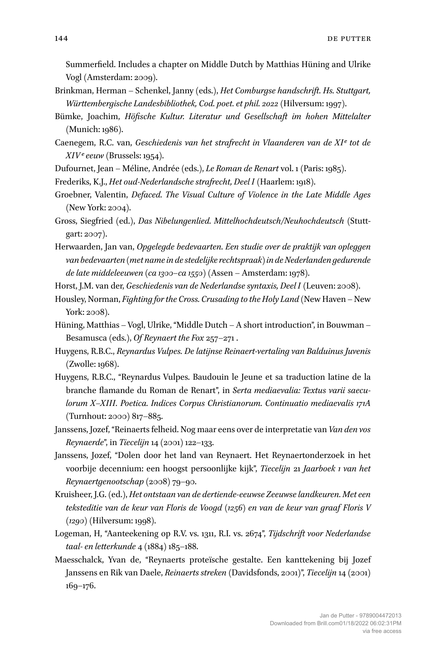Summerfield. Includes a chapter on Middle Dutch by Matthias Hüning and Ulrike Vogl (Amsterdam: 2009).

- Brinkman, Herman Schenkel, Janny (eds.), *Het Comburgse handschrift. Hs. Stuttgart, Württembergische Landesbibliothek, Cod. poet. et phil. 2o22* (Hilversum: 1997).
- Bümke, Joachim, *Höfische Kultur. Literatur und Gesellschaft im hohen Mittelalter* (Munich: 1986).
- Caenegem, R.C. van, *Geschiedenis van het strafrecht in Vlaanderen van de XIe tot de XIVe eeuw* (Brussels: 1954).
- Dufournet, Jean Méline, Andrée (eds.), *Le Roman de Renart* vol. 1 (Paris: 1985).
- Frederiks, K.J., *Het oud-Nederlandsche strafrecht, Deel I* (Haarlem: 1918).
- Groebner, Valentin, *Defaced. The Visual Culture of Violence in the Late Middle Ages* (New York: 2004).
- Gross, Siegfried (ed.), *Das Nibelungenlied. Mittelhochdeutsch/Neuhochdeutsch* (Stuttgart: 2007).
- Herwaarden, Jan van, *Opgelegde bedevaarten. Een studie over de praktijk van opleggen van bedevaarten (met name in de stedelijke rechtspraak) in de Nederlanden gedurende de late middeleeuwen (ca 1300–ca 1550)* (Assen – Amsterdam: 1978).
- Horst, J.M. van der, *Geschiedenis van de Nederlandse syntaxis, Deel I* (Leuven: 2008).
- Housley, Norman, *Fighting for the Cross. Crusading to the Holy Land* (New Haven New York: 2008).
- Hüning, Matthias Vogl, Ulrike, "Middle Dutch A short introduction", in Bouwman Besamusca (eds.), *Of Reynaert the Fox* 257–271 .
- Huygens, R.B.C., *Reynardus Vulpes. De latijnse Reinaert-vertaling van Balduinus Juvenis* (Zwolle: 1968).
- Huygens, R.B.C., "Reynardus Vulpes. Baudouin le Jeune et sa traduction latine de la branche flamande du Roman de Renart", in *Serta mediaevalia: Textus varii saeculorum X–XIII. Poetica. Indices Corpus Christianorum. Continuatio mediaevalis 171A* (Turnhout: 2000) 817–885.
- Janssens, Jozef, "Reinaerts felheid. Nog maar eens over de interpretatie van *Van den vos Reynaerde*", in *Tiecelijn* 14 (2001) 122–133.
- Janssens, Jozef, "Dolen door het land van Reynaert. Het Reynaertonderzoek in het voorbije decennium: een hoogst persoonlijke kijk", *Tiecelijn* 21 *Jaarboek 1 van het Reynaertgenootschap* (2008) 79–90.
- Kruisheer, J.G. (ed.), *Het ontstaan van de dertiende-eeuwse Zeeuwse landkeuren. Met een teksteditie van de keur van Floris de Voogd (1256) en van de keur van graaf Floris V (1290)* (Hilversum: 1998).
- Logeman, H, "Aanteekening op R.V. vs. 1311, R.I. vs. 2674", *Tijdschrift voor Nederlandse taal- en letterkunde* 4 (1884) 185–188.
- Maesschalck, Yvan de, "Reynaerts proteïsche gestalte. Een kanttekening bij Jozef Janssens en Rik van Daele, *Reinaerts streken* (Davidsfonds, 2001)", *Tiecelijn* 14 (2001) 169–176.